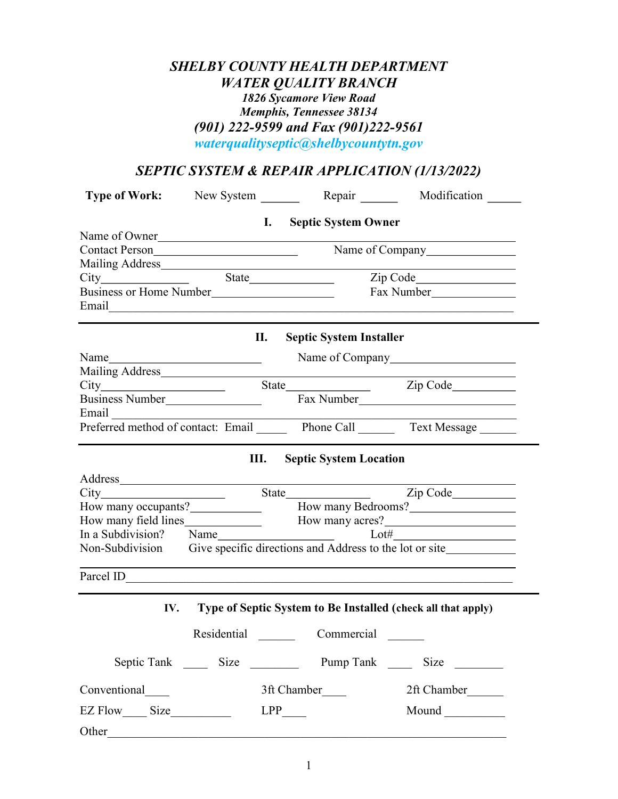## SHELBY COUNTY HEALTH DEPARTMENT WATER QUALITY BRANCH 1826 Sycamore View Road Memphis, Tennessee 38134 (901) 222-9599 and Fax (901)222-9561 waterqualityseptic@shelbycountytn.gov

# SEPTIC SYSTEM & REPAIR APPLICATION (1/13/2022)

|                                                                                                                                                                                                                                |  |                                       | Type of Work: New System ________ Repair _______ Modification ______    |  |
|--------------------------------------------------------------------------------------------------------------------------------------------------------------------------------------------------------------------------------|--|---------------------------------------|-------------------------------------------------------------------------|--|
|                                                                                                                                                                                                                                |  | I. Septic System Owner                |                                                                         |  |
|                                                                                                                                                                                                                                |  |                                       | Name of Owner<br>Contact Person<br>Name of Company                      |  |
|                                                                                                                                                                                                                                |  |                                       |                                                                         |  |
|                                                                                                                                                                                                                                |  |                                       |                                                                         |  |
|                                                                                                                                                                                                                                |  |                                       |                                                                         |  |
| Business or Home Number                                                                                                                                                                                                        |  |                                       |                                                                         |  |
|                                                                                                                                                                                                                                |  |                                       |                                                                         |  |
|                                                                                                                                                                                                                                |  | II.<br><b>Septic System Installer</b> |                                                                         |  |
|                                                                                                                                                                                                                                |  |                                       | Name of Company example of the contract of the contract of Company      |  |
|                                                                                                                                                                                                                                |  |                                       |                                                                         |  |
|                                                                                                                                                                                                                                |  |                                       |                                                                         |  |
|                                                                                                                                                                                                                                |  |                                       | Business Number<br>Fax Number<br>Fax Number                             |  |
|                                                                                                                                                                                                                                |  |                                       | Email Final Preferred method of contact: Email Phone Call Text Message  |  |
|                                                                                                                                                                                                                                |  |                                       |                                                                         |  |
|                                                                                                                                                                                                                                |  |                                       |                                                                         |  |
|                                                                                                                                                                                                                                |  | Ш.<br><b>Septic System Location</b>   |                                                                         |  |
| Address and the state of the state of the state of the state of the state of the state of the state of the state of the state of the state of the state of the state of the state of the state of the state of the state of th |  |                                       |                                                                         |  |
|                                                                                                                                                                                                                                |  |                                       |                                                                         |  |
|                                                                                                                                                                                                                                |  |                                       | How many occupants? How many Bedrooms?                                  |  |
|                                                                                                                                                                                                                                |  |                                       |                                                                         |  |
|                                                                                                                                                                                                                                |  |                                       |                                                                         |  |
|                                                                                                                                                                                                                                |  |                                       | Non-Subdivision Give specific directions and Address to the lot or site |  |
|                                                                                                                                                                                                                                |  |                                       |                                                                         |  |
|                                                                                                                                                                                                                                |  |                                       | IV. Type of Septic System to Be Installed (check all that apply)        |  |
|                                                                                                                                                                                                                                |  | Residential Commercial                |                                                                         |  |
|                                                                                                                                                                                                                                |  |                                       | Pump Tank ________ Size _________                                       |  |
| Conventional                                                                                                                                                                                                                   |  | 3ft Chamber_____                      | 2ft Chamber______                                                       |  |
|                                                                                                                                                                                                                                |  | $LPP$ <sub>____</sub>                 |                                                                         |  |
| Other                                                                                                                                                                                                                          |  |                                       |                                                                         |  |